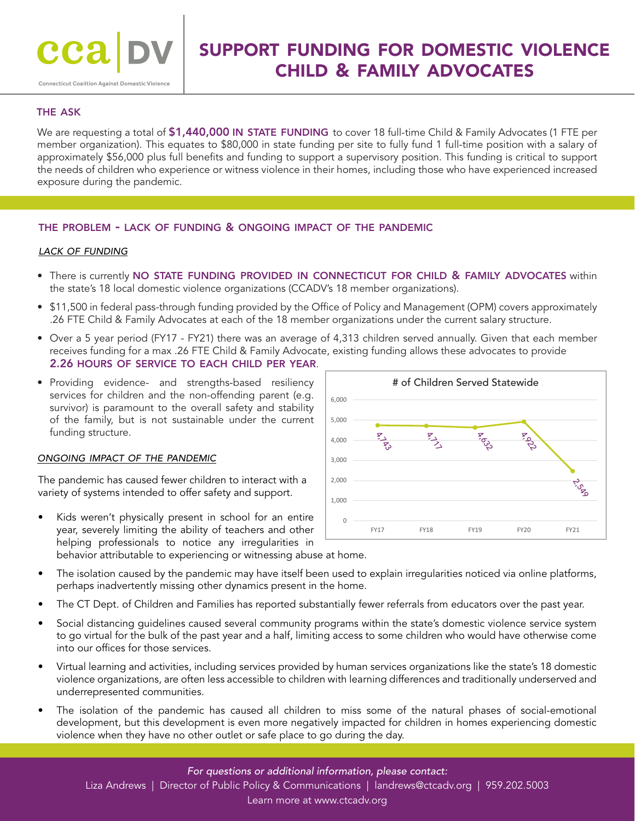# support funding for domestic violence child & family advocates

### the ask

We are requesting a total of \$1,440,000 IN STATE FUNDING to cover 18 full-time Child & Family Advocates (1 FTE per member organization). This equates to \$80,000 in state funding per site to fully fund 1 full-time position with a salary of approximately \$56,000 plus full benefits and funding to support a supervisory position. This funding is critical to support the needs of children who experience or witness violence in their homes, including those who have experienced increased exposure during the pandemic.

#### the problem - lack of funding & ongoing impact of the pandemic

#### *lack of funding*

- There is currently NO STATE FUNDING PROVIDED IN CONNECTICUT FOR CHILD & FAMILY ADVOCATES within the state's 18 local domestic violence organizations (CCADV's 18 member organizations).
- \$11,500 in federal pass-through funding provided by the Office of Policy and Management (OPM) covers approximately .26 FTE Child & Family Advocates at each of the 18 member organizations under the current salary structure.
- Over a 5 year period (FY17 FY21) there was an average of 4,313 children served annually. Given that each member receives funding for a max .26 FTE Child & Family Advocate, existing funding allows these advocates to provide 2.26 hours of service to each child per year.
- Providing evidence- and strengths-based resiliency services for children and the non-offending parent (e.g. survivor) is paramount to the overall safety and stability of the family, but is not sustainable under the current funding structure.

#### *ongoing impact of the pandemic*

The pandemic has caused fewer children to interact with a  $\frac{1}{2,000}$  and  $\frac{1}{2,000}$  and  $\frac{1}{2,000}$  and  $\frac{1}{2,000}$  and  $\frac{1}{2,000}$  and  $\frac{1}{2,000}$  and  $\frac{1}{2,000}$  and  $\frac{1}{2,000}$  and  $\frac{1}{2,000}$  and variety of systems intended to offer safety and support.

- Kids weren't physically present in school for an entire year, severely limiting the ability of teachers and other helping professionals to notice any irregularities in behavior attributable to experiencing or witnessing abuse at home.
- The isolation caused by the pandemic may have itself been used to explain irregularities noticed via online platforms, perhaps inadvertently missing other dynamics present in the home.
- The CT Dept. of Children and Families has reported substantially fewer referrals from educators over the past year.
- Social distancing guidelines caused several community programs within the state's domestic violence service system to go virtual for the bulk of the past year and a half, limiting access to some children who would have otherwise come into our offices for those services.
- Virtual learning and activities, including services provided by human services organizations like the state's 18 domestic violence organizations, are often less accessible to children with learning differences and traditionally underserved and underrepresented communities.
- The isolation of the pandemic has caused all children to miss some of the natural phases of social-emotional development, but this development is even more negatively impacted for children in homes experiencing domestic violence when they have no other outlet or safe place to go during the day.